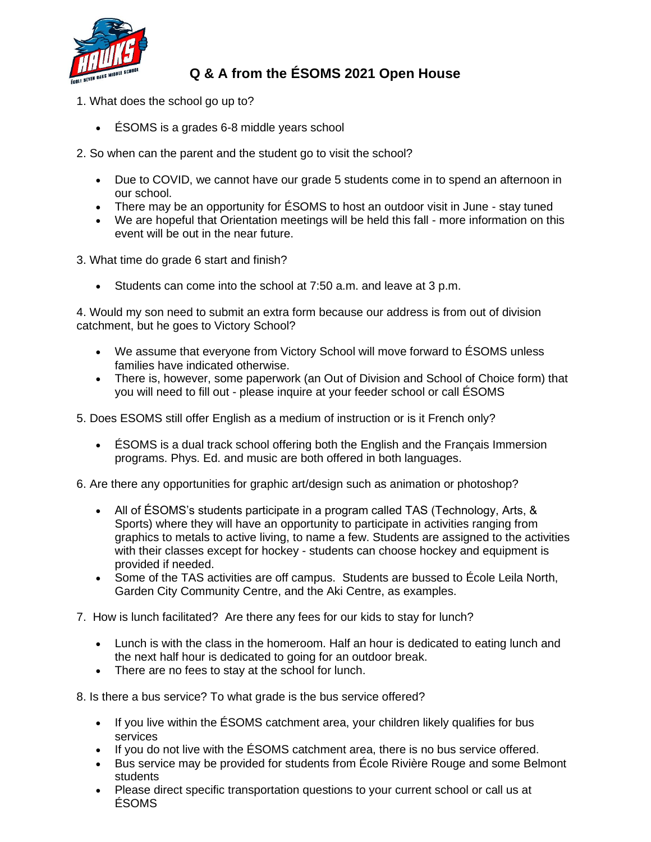

## **Q & A from the ÉSOMS 2021 Open House**

- 1. What does the school go up to?
	- ÉSOMS is a grades 6-8 middle years school
- 2. So when can the parent and the student go to visit the school?
	- Due to COVID, we cannot have our grade 5 students come in to spend an afternoon in our school.
	- There may be an opportunity for  $ÉSOMS$  to host an outdoor visit in June stay tuned
	- We are hopeful that Orientation meetings will be held this fall more information on this event will be out in the near future.
- 3. What time do grade 6 start and finish?
	- Students can come into the school at 7:50 a.m. and leave at 3 p.m.

4. Would my son need to submit an extra form because our address is from out of division catchment, but he goes to Victory School?

- We assume that everyone from Victory School will move forward to ÉSOMS unless families have indicated otherwise.
- There is, however, some paperwork (an Out of Division and School of Choice form) that you will need to fill out - please inquire at your feeder school or call ÉSOMS

5. Does ESOMS still offer English as a medium of instruction or is it French only?

• ÉSOMS is a dual track school offering both the English and the Français Immersion programs. Phys. Ed. and music are both offered in both languages.

6. Are there any opportunities for graphic art/design such as animation or photoshop?

- All of ÉSOMS's students participate in a program called TAS (Technology, Arts, & Sports) where they will have an opportunity to participate in activities ranging from graphics to metals to active living, to name a few. Students are assigned to the activities with their classes except for hockey - students can choose hockey and equipment is provided if needed.
- Some of the TAS activities are off campus. Students are bussed to École Leila North, Garden City Community Centre, and the Aki Centre, as examples.
- 7. How is lunch facilitated? Are there any fees for our kids to stay for lunch?
	- Lunch is with the class in the homeroom. Half an hour is dedicated to eating lunch and the next half hour is dedicated to going for an outdoor break.
	- There are no fees to stay at the school for lunch.

8. Is there a bus service? To what grade is the bus service offered?

- If you live within the ESOMS catchment area, your children likely qualifies for bus services
- If you do not live with the ÉSOMS catchment area, there is no bus service offered.
- Bus service may be provided for students from École Rivière Rouge and some Belmont students
- Please direct specific transportation questions to your current school or call us at ÉSOMS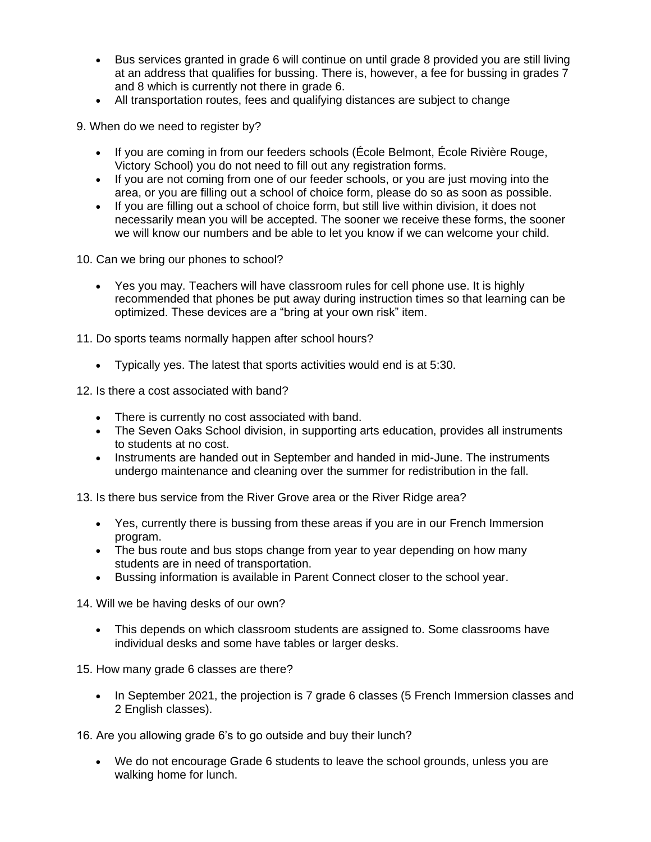- Bus services granted in grade 6 will continue on until grade 8 provided you are still living at an address that qualifies for bussing. There is, however, a fee for bussing in grades 7 and 8 which is currently not there in grade 6.
- All transportation routes, fees and qualifying distances are subject to change

9. When do we need to register by?

- If you are coming in from our feeders schools (École Belmont, École Rivière Rouge. Victory School) you do not need to fill out any registration forms.
- If you are not coming from one of our feeder schools, or you are just moving into the area, or you are filling out a school of choice form, please do so as soon as possible.
- If you are filling out a school of choice form, but still live within division, it does not necessarily mean you will be accepted. The sooner we receive these forms, the sooner we will know our numbers and be able to let you know if we can welcome your child.

10. Can we bring our phones to school?

• Yes you may. Teachers will have classroom rules for cell phone use. It is highly recommended that phones be put away during instruction times so that learning can be optimized. These devices are a "bring at your own risk" item.

11. Do sports teams normally happen after school hours?

• Typically yes. The latest that sports activities would end is at 5:30.

12. Is there a cost associated with band?

- There is currently no cost associated with band.
- The Seven Oaks School division, in supporting arts education, provides all instruments to students at no cost.
- Instruments are handed out in September and handed in mid-June. The instruments undergo maintenance and cleaning over the summer for redistribution in the fall.

13. Is there bus service from the River Grove area or the River Ridge area?

- Yes, currently there is bussing from these areas if you are in our French Immersion program.
- The bus route and bus stops change from year to year depending on how many students are in need of transportation.
- Bussing information is available in Parent Connect closer to the school year.

14. Will we be having desks of our own?

• This depends on which classroom students are assigned to. Some classrooms have individual desks and some have tables or larger desks.

15. How many grade 6 classes are there?

• In September 2021, the projection is 7 grade 6 classes (5 French Immersion classes and 2 English classes).

16. Are you allowing grade 6's to go outside and buy their lunch?

• We do not encourage Grade 6 students to leave the school grounds, unless you are walking home for lunch.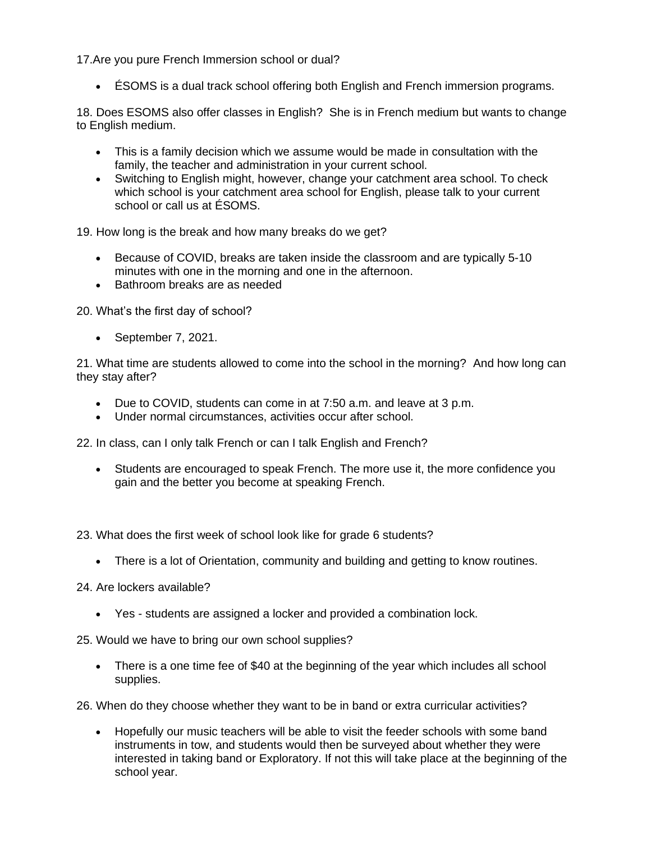17.Are you pure French Immersion school or dual?

• ÉSOMS is a dual track school offering both English and French immersion programs.

18. Does ESOMS also offer classes in English? She is in French medium but wants to change to English medium.

- This is a family decision which we assume would be made in consultation with the family, the teacher and administration in your current school.
- Switching to English might, however, change your catchment area school. To check which school is your catchment area school for English, please talk to your current school or call us at ÉSOMS.

19. How long is the break and how many breaks do we get?

- Because of COVID, breaks are taken inside the classroom and are typically 5-10 minutes with one in the morning and one in the afternoon.
- Bathroom breaks are as needed

20. What's the first day of school?

• September 7, 2021.

21. What time are students allowed to come into the school in the morning? And how long can they stay after?

- Due to COVID, students can come in at 7:50 a.m. and leave at 3 p.m.
- Under normal circumstances, activities occur after school.

22. In class, can I only talk French or can I talk English and French?

• Students are encouraged to speak French. The more use it, the more confidence vou gain and the better you become at speaking French.

23. What does the first week of school look like for grade 6 students?

- There is a lot of Orientation, community and building and getting to know routines.
- 24. Are lockers available?
	- Yes students are assigned a locker and provided a combination lock.

25. Would we have to bring our own school supplies?

• There is a one time fee of \$40 at the beginning of the year which includes all school supplies.

26. When do they choose whether they want to be in band or extra curricular activities?

• Hopefully our music teachers will be able to visit the feeder schools with some band instruments in tow, and students would then be surveyed about whether they were interested in taking band or Exploratory. If not this will take place at the beginning of the school year.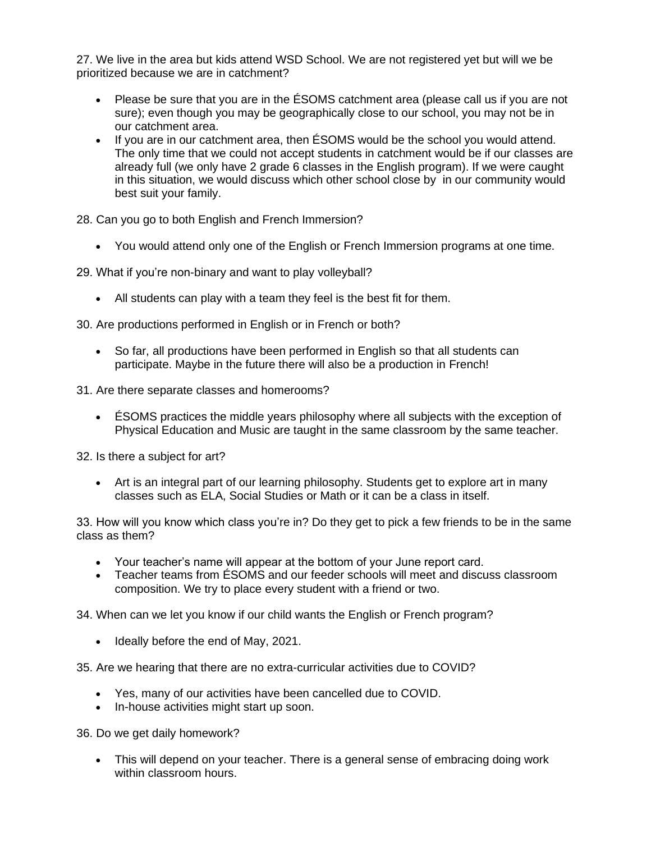27. We live in the area but kids attend WSD School. We are not registered yet but will we be prioritized because we are in catchment?

- Please be sure that you are in the ESOMS catchment area (please call us if you are not sure); even though you may be geographically close to our school, you may not be in our catchment area.
- If you are in our catchment area, then ÉSOMS would be the school you would attend. The only time that we could not accept students in catchment would be if our classes are already full (we only have 2 grade 6 classes in the English program). If we were caught in this situation, we would discuss which other school close by in our community would best suit your family.

28. Can you go to both English and French Immersion?

• You would attend only one of the English or French Immersion programs at one time.

29. What if you're non-binary and want to play volleyball?

• All students can play with a team they feel is the best fit for them.

30. Are productions performed in English or in French or both?

• So far, all productions have been performed in English so that all students can participate. Maybe in the future there will also be a production in French!

31. Are there separate classes and homerooms?

• ÉSOMS practices the middle years philosophy where all subjects with the exception of Physical Education and Music are taught in the same classroom by the same teacher.

32. Is there a subject for art?

• Art is an integral part of our learning philosophy. Students get to explore art in many classes such as ELA, Social Studies or Math or it can be a class in itself.

33. How will you know which class you're in? Do they get to pick a few friends to be in the same class as them?

- Your teacher's name will appear at the bottom of your June report card.
- Teacher teams from ÉSOMS and our feeder schools will meet and discuss classroom composition. We try to place every student with a friend or two.

34. When can we let you know if our child wants the English or French program?

• Ideally before the end of May, 2021.

35. Are we hearing that there are no extra-curricular activities due to COVID?

- Yes, many of our activities have been cancelled due to COVID.
- In-house activities might start up soon.

36. Do we get daily homework?

• This will depend on your teacher. There is a general sense of embracing doing work within classroom hours.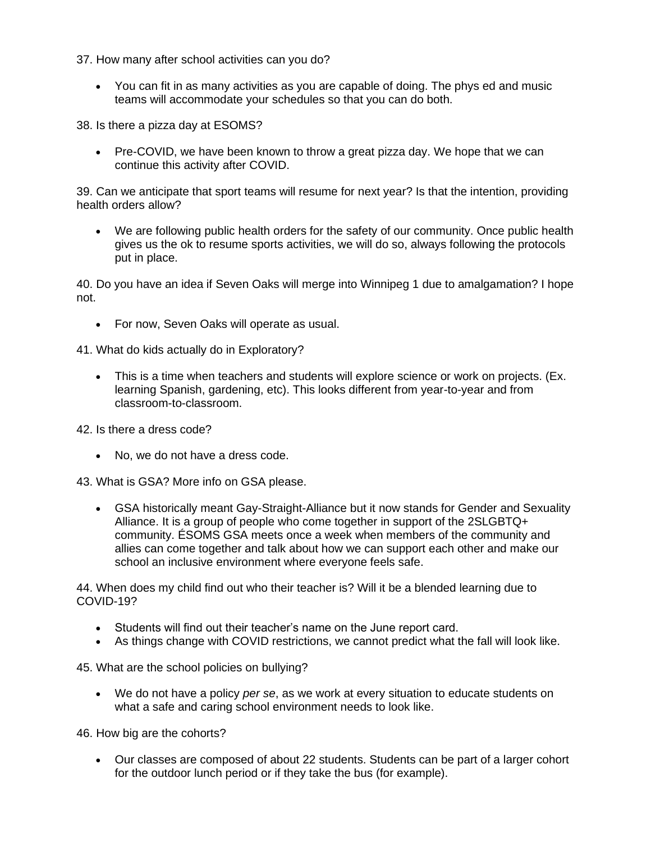37. How many after school activities can you do?

• You can fit in as many activities as you are capable of doing. The phys ed and music teams will accommodate your schedules so that you can do both.

38. Is there a pizza day at ESOMS?

• Pre-COVID, we have been known to throw a great pizza day. We hope that we can continue this activity after COVID.

39. Can we anticipate that sport teams will resume for next year? Is that the intention, providing health orders allow?

• We are following public health orders for the safety of our community. Once public health gives us the ok to resume sports activities, we will do so, always following the protocols put in place.

40. Do you have an idea if Seven Oaks will merge into Winnipeg 1 due to amalgamation? I hope not.

• For now, Seven Oaks will operate as usual.

41. What do kids actually do in Exploratory?

• This is a time when teachers and students will explore science or work on projects. (Ex. learning Spanish, gardening, etc). This looks different from year-to-year and from classroom-to-classroom.

42. Is there a dress code?

• No, we do not have a dress code.

43. What is GSA? More info on GSA please.

• GSA historically meant Gay-Straight-Alliance but it now stands for Gender and Sexuality Alliance. It is a group of people who come together in support of the 2SLGBTQ+ community. ÉSOMS GSA meets once a week when members of the community and allies can come together and talk about how we can support each other and make our school an inclusive environment where everyone feels safe.

44. When does my child find out who their teacher is? Will it be a blended learning due to COVID-19?

- Students will find out their teacher's name on the June report card.
- As things change with COVID restrictions, we cannot predict what the fall will look like.

45. What are the school policies on bullying?

• We do not have a policy *per se*, as we work at every situation to educate students on what a safe and caring school environment needs to look like.

46. How big are the cohorts?

• Our classes are composed of about 22 students. Students can be part of a larger cohort for the outdoor lunch period or if they take the bus (for example).